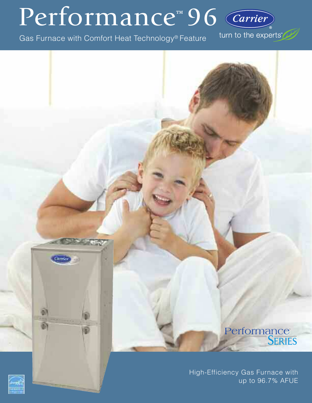# Performance™ 96 Carrier

Gas Furnace with Comfort Heat Technology® Feature

turn to the experts"

# Performance<br>SERIES

High-Efficiency Gas Furnace with up to 96.7% AFUE



Citerse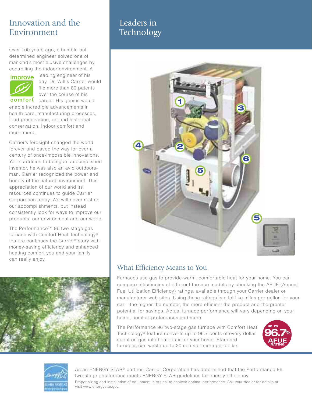# Innovation and the Environment

Over 100 years ago, a humble but determined engineer solved one of mankind's most elusive challenges by controlling the indoor environment. A



leading engineer of his day, Dr. Willis Carrier would file more than 80 patents over the course of his

comfort career. His genius would enable incredible advancements in health care, manufacturing processes, food preservation, art and historical conservation, indoor comfort and much more.

Carrier's foresight changed the world forever and paved the way for over a century of once-impossible innovations. Yet in addition to being an accomplished inventor, he was also an avid outdoorsman. Carrier recognized the power and beauty of the natural environment. This appreciation of our world and its resources continues to guide Carrier Corporation today. We will never rest on our accomplishments, but instead consistently look for ways to improve our products, our environment and our world.

The Performance™ 96 two-stage gas furnace with Comfort Heat Technology® feature continues the Carrier® story with money-saving efficiency and enhanced heating comfort you and your family can really enjoy.



# Leaders in **Technology**



## What Efficiency Means to You

Furnaces use gas to provide warm, comfortable heat for your home. You can compare efficiencies of different furnace models by checking the AFUE (Annual Fuel Utilization Efficiency) ratings, available through your Carrier dealer or manufacturer web sites. Using these ratings is a lot like miles per gallon for your car – the higher the number, the more efficient the product and the greater potential for savings. Actual furnace performance will vary depending on your home, comfort preferences and more.

The Performance 96 two-stage gas furnace with Comfort Heat Technology® feature converts up to 96.7 cents of every dollar spent on gas into heated air for your home. Standard furnaces can waste up to 20 cents or more per dollar.





As an ENERGY STAR® partner, Carrier Corporation has determined that the Performance 96 two-stage gas furnace meets ENERGY STAR guidelines for energy efficiency. Proper sizing and installation of equipment is critical to achieve optimal performance. Ask your dealer for details or visit www.energystar.gov.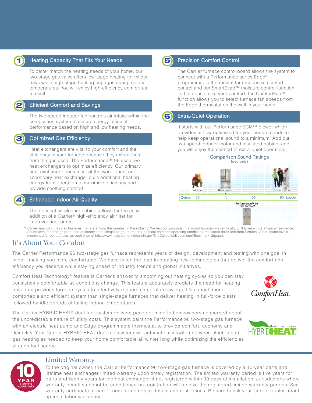

2

3

### **1** Heating Capacity That Fits Your Needs **1988 1988** Precision Comfort Control

To better match the heating needs of your home, our two-stage gas valve offers low-stage heating for milder days while high-stage heating engages during colder temperatures. You will enjoy high-efficiency comfort as a result.

#### Efficient Comfort and Savings

The two-speed inducer fan controls air intake within the combustion system to ensure energy-efficient performance based on high and low heating needs.

#### Optimized Gas Efficiency

Heat exchangers are vital to your comfort and the efficiency of your furnace because they extract heat from the gas used. The Performance™ 96 uses two heat exchangers to optimize efficiency. Our primary heat exchanger does most of the work. Then, our secondary heat exchanger pulls additional heating energy from operation to maximize efficiency and provide soothing comfort.

#### **Enhanced Indoor Air Quality**

The optional air cleaner cabinet allows for the easy addition of a Carrier® high-efficiency air filter for improved indoor air.

Carrier manufactures gas furnaces that are among the quietest in the industry. We test our products in a sound laboratory specifically built to resemble a typical residence. Sound level recordings produced at steady state, single-stage operation (the most common operating condition), measured three feet from furnace. Other sound levels,<br>mentioned for comparison, as published at http://www.nois

### It's About Your Comfort

The Carrier Performance 96 two-stage gas furnace represents years of design, development and testing with one goal in mind – making you more comfortable. We have taken the lead in creating new technologies that deliver the comfort and efficiency you deserve while staying ahead of industry trends and global initiatives.

Comfort Heat Technology® feature is Carrier's answer to smoothing out heating cycles so you can stay consistently comfortable as conditions change. This feature accurately predicts the need for heating based on previous furnace cycles to effectively reduce temperature swings. It's a much more comfortable and efficient system than single-stage furnaces that deliver heating in full-force blasts followed by idle periods of falling indoor temperatures.

The Carrier HYBRID HEAT® dual fuel system delivers peace of mind to homeowners concerned about the unpredictable nature of utility costs. This system pairs the Performance 96 two-stage gas furnace with an electric heat pump and Edge programmable thermostat to provide comfort, economy and flexibility. Your Carrier HYBRID HEAT dual fuel system will automatically switch between electric and gas heating as needed to keep your home comfortable all winter long while optimizing the efficiencies of each fuel source.







#### Limited Warranty

To the original owner, the Carrier Performance 96 two-stage gas furnace is covered by a 10-year parts and lifetime heat exchanger limited warranty upon timely registration. The limited warranty period is five years for parts and twenty years for the heat exchanger if not registered within 90 days of installation. Jurisdictions where warranty benefits cannot be conditioned on registration will receive the registered limited warranty periods. See warranty certificate at carrier.com for complete details and restrictions. Be sure to ask your Carrier dealer about optional labor warranties.



The Carrier furnace control board allows the system to connect with a Performance series Edge® programmable thermostat for responsive comfort control and our SmartEvap™ moisture control function. To help customize your comfort, the ComfortFan™ function allows you to select furnace fan speeds from the Edge thermostat on the wall in your home.



#### Extra-Quiet Operation

It starts with our Performance ECM™ blower which provides airflow optimized for your home's needs to help keep operational sound to a minimum. Add our two-speed inducer motor and insulated cabinet and you will enjoy the comfort of extra-quiet operation.